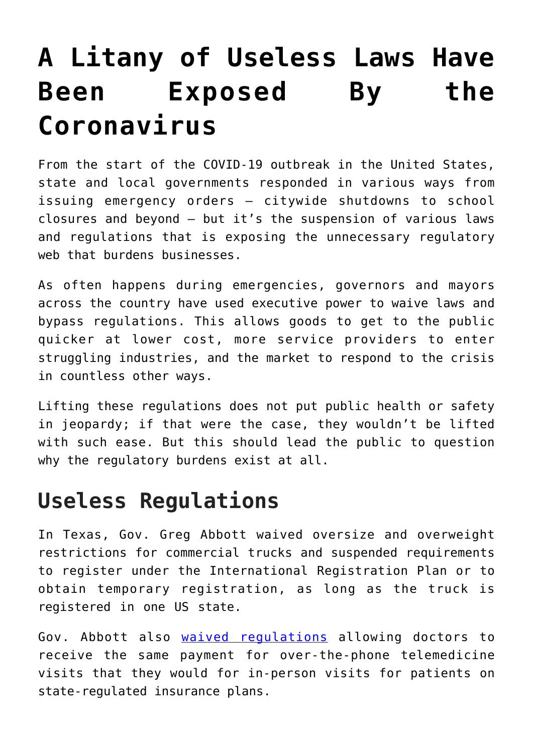## **[A Litany of Useless Laws Have](https://intellectualtakeout.org/2020/03/a-litany-of-useless-laws-have-been-exposed-by-the-coronavirus/) [Been Exposed By the](https://intellectualtakeout.org/2020/03/a-litany-of-useless-laws-have-been-exposed-by-the-coronavirus/) [Coronavirus](https://intellectualtakeout.org/2020/03/a-litany-of-useless-laws-have-been-exposed-by-the-coronavirus/)**

From the start of the COVID-19 outbreak in the United States, state and local governments responded in various ways from issuing emergency orders – citywide shutdowns to school closures and beyond – but it's the suspension of various laws and regulations that is exposing the unnecessary regulatory web that burdens businesses.

As often happens during emergencies, governors and mayors across the country have used executive power to waive laws and bypass regulations. This allows goods to get to the public quicker at lower cost, more service providers to enter struggling industries, and the market to respond to the crisis in countless other ways.

Lifting these regulations does not put public health or safety in jeopardy; if that were the case, they wouldn't be lifted with such ease. But this should lead the public to question why the regulatory burdens exist at all.

## **Useless Regulations**

In Texas, Gov. Greg Abbott waived oversize and overweight restrictions for commercial trucks and suspended requirements to register under the International Registration Plan or to obtain temporary registration, as long as the truck is registered in one US state.

Gov. Abbott also [waived regulations](https://gov.texas.gov/news/post/governor-abbott-waives-certain-regulations-for-telemedicine-care-in-texas) allowing doctors to receive the same payment for over-the-phone telemedicine visits that they would for in-person visits for patients on state-regulated insurance plans.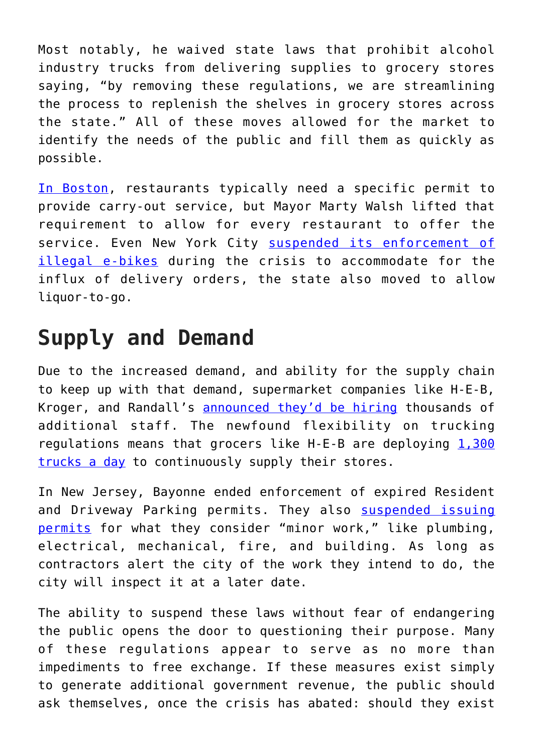Most notably, he waived state laws that prohibit alcohol industry trucks from delivering supplies to grocery stores saying, "by removing these regulations, we are streamlining the process to replenish the shelves in grocery stores across the state." All of these moves allowed for the market to identify the needs of the public and fill them as quickly as possible.

[In Boston](https://www.boston.com/news/local-news/2020/03/15/boston-restaurants-bars-new-rules-coronavirus), restaurants typically need a specific permit to provide carry-out service, but Mayor Marty Walsh lifted that requirement to allow for every restaurant to offer the service. Even New York City [suspended its enforcement of](http://fee.org/umbraco/Because%20of%20the%20increased%20demand,%20and%20supply%20chain%20to%20keep%20up%20with%20that%20demand,%20supermarket%20companies%20HEB,%20Kroger,%20and%20Randall’s%20announced%20they’d%20be%20hiring%20more%20staff.) [illegal e-bikes](http://fee.org/umbraco/Because%20of%20the%20increased%20demand,%20and%20supply%20chain%20to%20keep%20up%20with%20that%20demand,%20supermarket%20companies%20HEB,%20Kroger,%20and%20Randall’s%20announced%20they’d%20be%20hiring%20more%20staff.) during the crisis to accommodate for the influx of delivery orders, the state also moved to allow liquor-to-go.

## **Supply and Demand**

Due to the increased demand, and ability for the supply chain to keep up with that demand, supermarket companies like H-E-B, Kroger, and Randall's [announced they'd be hiring](https://www.khou.com/article/news/health/coronavirus/h-e-b-kroger-and-other-grocery-chains-in-need-of-new-hires-amid-coronavirus-outbreak/285-f7a5db2f-d31c-44fd-9d0f-052e7938c153) thousands of additional staff. The newfound flexibility on trucking regulations means that grocers like  $H-E-B$  are deploying  $1,300$ [trucks a day](https://www.ksat.com/news/local/2020/03/18/video-shows-inside-of-fully-stocked-h-e-b-warehouse/) to continuously supply their stores.

In New Jersey, Bayonne ended enforcement of expired Resident and Driveway Parking permits. They also [suspended issuing](https://hudsonreporter.com/2020/03/13/bayonne-city-services-limited-in-wake-of-covid-19-pandemic/) [permits](https://hudsonreporter.com/2020/03/13/bayonne-city-services-limited-in-wake-of-covid-19-pandemic/) for what they consider "minor work," like plumbing, electrical, mechanical, fire, and building. As long as contractors alert the city of the work they intend to do, the city will inspect it at a later date.

The ability to suspend these laws without fear of endangering the public opens the door to questioning their purpose. Many of these regulations appear to serve as no more than impediments to free exchange. If these measures exist simply to generate additional government revenue, the public should ask themselves, once the crisis has abated: should they exist